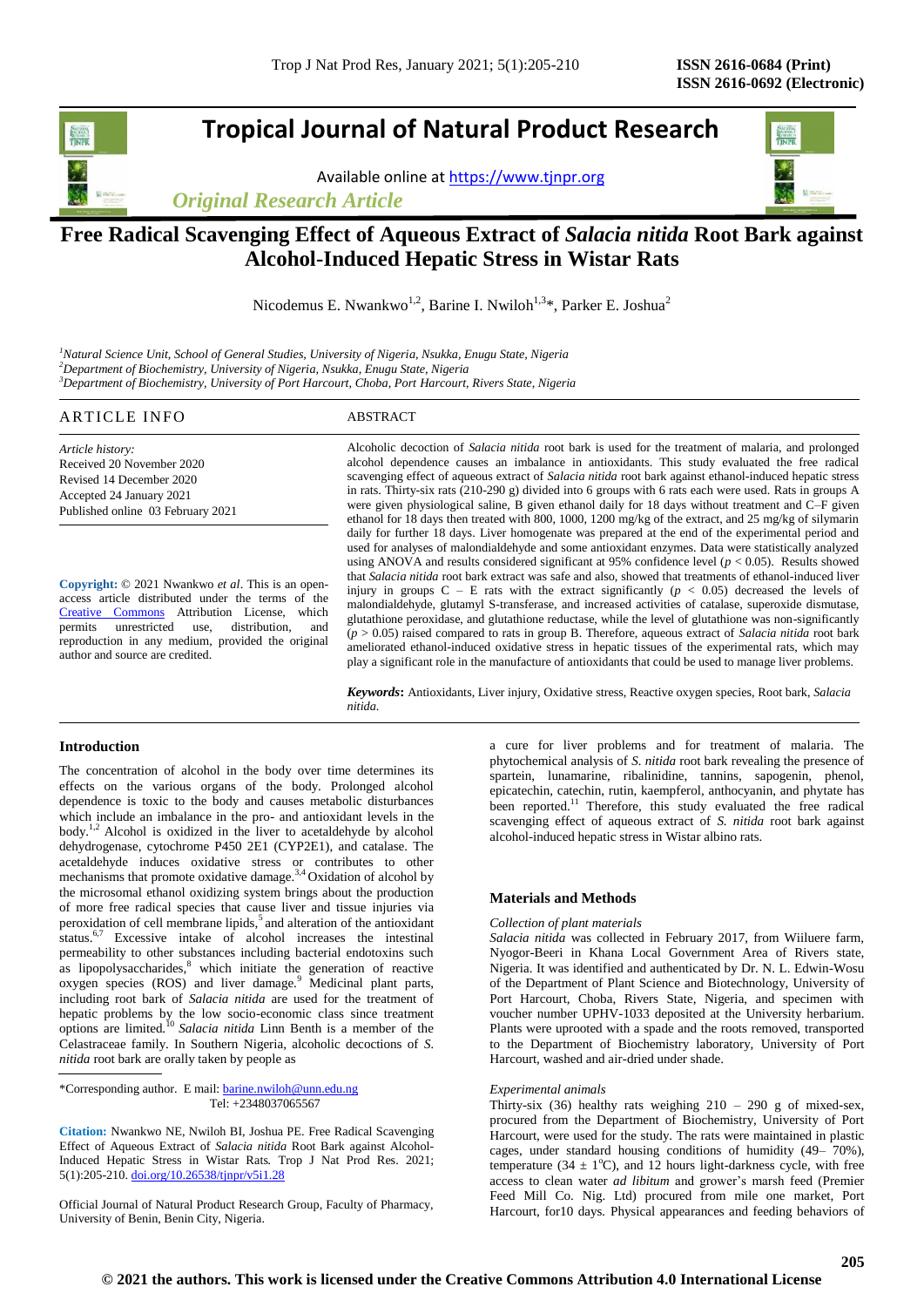# **Tropical Journal of Natural Product Research**

Available online at [https://www.tjnpr.org](https://www.tjnpr.org/)

*Original Research Article*



# **Free Radical Scavenging Effect of Aqueous Extract of** *Salacia nitida* **Root Bark against Alcohol-Induced Hepatic Stress in Wistar Rats**

Nicodemus E. Nwankwo<sup>1,2</sup>, Barine I. Nwiloh<sup>1,3\*</sup>, Parker E. Joshua<sup>2</sup>

*<sup>1</sup>Natural Science Unit, School of General Studies, University of Nigeria, Nsukka, Enugu State, Nigeria <sup>2</sup>Department of Biochemistry, University of Nigeria, Nsukka, Enugu State, Nigeria <sup>3</sup>Department of Biochemistry, University of Port Harcourt, Choba, Port Harcourt, Rivers State, Nigeria*

# ARTICLE INFO ABSTRACT

*Article history:* Received 20 November 2020 Revised 14 December 2020 Accepted 24 January 2021 Published online 03 February 2021

**Copyright:** © 2021 Nwankwo *et al*. This is an openaccess article distributed under the terms of the [Creative Commons](https://creativecommons.org/licenses/by/4.0/) Attribution License, which<br>permits unrestricted use, distribution, and unrestricted use, distribution, and reproduction in any medium, provided the original author and source are credited.

Alcoholic decoction of *Salacia nitida* root bark is used for the treatment of malaria, and prolonged alcohol dependence causes an imbalance in antioxidants. This study evaluated the free radical scavenging effect of aqueous extract of *Salacia nitida* root bark against ethanol-induced hepatic stress in rats. Thirty-six rats (210-290 g) divided into 6 groups with 6 rats each were used. Rats in groups A were given physiological saline, B given ethanol daily for 18 days without treatment and C–F given ethanol for 18 days then treated with 800, 1000, 1200 mg/kg of the extract, and 25 mg/kg of silymarin daily for further 18 days. Liver homogenate was prepared at the end of the experimental period and used for analyses of malondialdehyde and some antioxidant enzymes. Data were statistically analyzed using ANOVA and results considered significant at 95% confidence level ( $p < 0.05$ ). Results showed that *Salacia nitida* root bark extract was safe and also, showed that treatments of ethanol-induced liver injury in groups  $C - E$  rats with the extract significantly ( $p < 0.05$ ) decreased the levels of malondialdehyde, glutamyl S-transferase, and increased activities of catalase, superoxide dismutase, glutathione peroxidase, and glutathione reductase, while the level of glutathione was non-significantly (*p* > 0.05) raised compared to rats in group B. Therefore, aqueous extract of *Salacia nitida* root bark ameliorated ethanol-induced oxidative stress in hepatic tissues of the experimental rats, which may play a significant role in the manufacture of antioxidants that could be used to manage liver problems.

*Keywords***:** Antioxidants, Liver injury, Oxidative stress, Reactive oxygen species, Root bark, *Salacia nitida*.

# **Introduction**

The concentration of alcohol in the body over time determines its effects on the various organs of the body. Prolonged alcohol dependence is toxic to the body and causes metabolic disturbances which include an imbalance in the pro- and antioxidant levels in the body.1,2 Alcohol is oxidized in the liver to acetaldehyde by alcohol dehydrogenase, cytochrome P450 2E1 (CYP2E1), and catalase. The acetaldehyde induces oxidative stress or contributes to other mechanisms that promote oxidative damage.<sup>3,4</sup> Oxidation of alcohol by the microsomal ethanol oxidizing system brings about the production of more free radical species that cause liver and tissue injuries via peroxidation of cell membrane lipids,<sup>5</sup> and alteration of the antioxidant status.6,7 Excessive intake of alcohol increases the intestinal permeability to other substances including bacterial endotoxins such as lipopolysaccharides, $8$  which initiate the generation of reactive oxygen species (ROS) and liver damage.<sup>9</sup> Medicinal plant parts, including root bark of *Salacia nitida* are used for the treatment of hepatic problems by the low socio-economic class since treatment options are limited.<sup>10</sup> *Salacia nitida* Linn Benth is a member of the Celastraceae family. In Southern Nigeria, alcoholic decoctions of *S. nitida* root bark are orally taken by people as

\*Corresponding author. E mail[: barine.nwiloh@unn.edu.ng](mailto:barine.nwiloh@unn.edu.ng) Tel: +2348037065567

**Citation:** Nwankwo NE, Nwiloh BI, Joshua PE. Free Radical Scavenging Effect of Aqueous Extract of *Salacia nitida* Root Bark against Alcohol-Induced Hepatic Stress in Wistar Rats*.* Trop J Nat Prod Res. 2021; 5(1):205-210. [doi.org/10.26538/tjnpr/v5i1.2](http://www.doi.org/10.26538/tjnpr/v1i4.5)8

Official Journal of Natural Product Research Group, Faculty of Pharmacy, University of Benin, Benin City, Nigeria.

a cure for liver problems and for treatment of malaria. The phytochemical analysis of *S. nitida* root bark revealing the presence of spartein, lunamarine, ribalinidine, tannins, sapogenin, phenol, epicatechin, catechin, rutin, kaempferol, anthocyanin, and phytate has been reported.<sup>11</sup> Therefore, this study evaluated the free radical scavenging effect of aqueous extract of *S. nitida* root bark against alcohol-induced hepatic stress in Wistar albino rats.

# **Materials and Methods**

### *Collection of plant materials*

*Salacia nitida* was collected in February 2017, from Wiiluere farm, Nyogor-Beeri in Khana Local Government Area of Rivers state, Nigeria. It was identified and authenticated by Dr. N. L. Edwin-Wosu of the Department of Plant Science and Biotechnology, University of Port Harcourt, Choba, Rivers State, Nigeria, and specimen with voucher number UPHV-1033 deposited at the University herbarium. Plants were uprooted with a spade and the roots removed, transported to the Department of Biochemistry laboratory, University of Port Harcourt, washed and air-dried under shade.

# *Experimental animals*

Thirty-six (36) healthy rats weighing  $210 - 290$  g of mixed-sex, procured from the Department of Biochemistry, University of Port Harcourt, were used for the study. The rats were maintained in plastic cages, under standard housing conditions of humidity (49– 70%), temperature (34  $\pm$  1°C), and 12 hours light-darkness cycle, with free access to clean water *ad libitum* and grower's marsh feed (Premier Feed Mill Co. Nig. Ltd) procured from mile one market, Port Harcourt, for10 days*.* Physical appearances and feeding behaviors of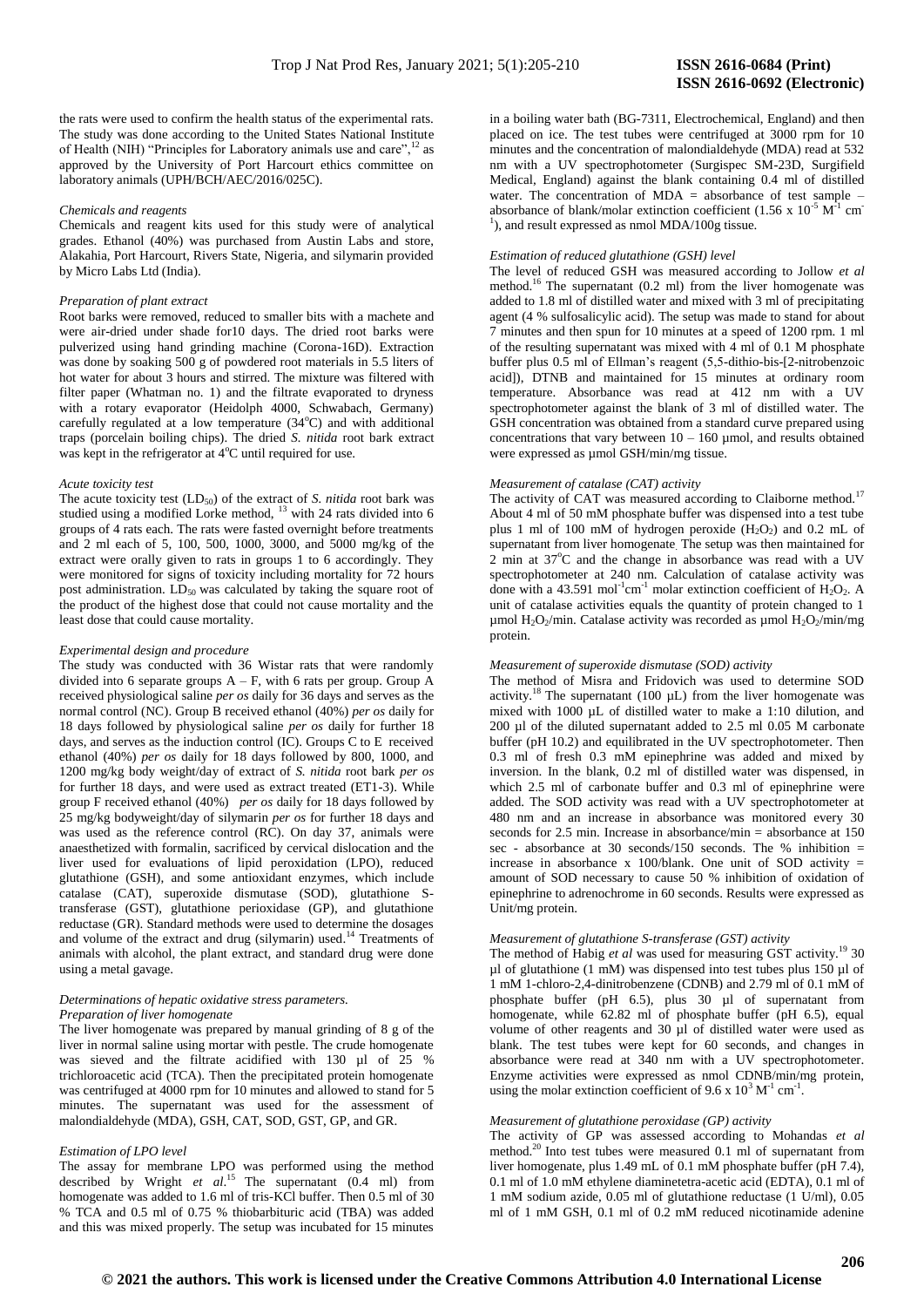the rats were used to confirm the health status of the experimental rats. The study was done according to the United States National Institute of Health (NIH) "Principles for Laboratory animals use and care",<sup>12</sup> as approved by the University of Port Harcourt ethics committee on laboratory animals (UPH/BCH/AEC/2016/025C).

#### *Chemicals and reagents*

Chemicals and reagent kits used for this study were of analytical grades. Ethanol (40%) was purchased from Austin Labs and store, Alakahia, Port Harcourt, Rivers State, Nigeria, and silymarin provided by Micro Labs Ltd (India).

#### *Preparation of plant extract*

Root barks were removed, reduced to smaller bits with a machete and were air-dried under shade for10 days. The dried root barks were pulverized using hand grinding machine (Corona-16D). Extraction was done by soaking 500 g of powdered root materials in 5.5 liters of hot water for about 3 hours and stirred. The mixture was filtered with filter paper (Whatman no. 1) and the filtrate evaporated to dryness with a rotary evaporator (Heidolph 4000, Schwabach, Germany) carefully regulated at a low temperature  $(34^{\circ}C)$  and with additional traps (porcelain boiling chips). The dried *S. nitida* root bark extract was kept in the refrigerator at  $4^{\circ}$ C until required for use.

#### *Acute toxicity test*

The acute toxicity test  $(LD_{50})$  of the extract of *S. nitida* root bark was studied using a modified Lorke method,  $^{13}$  with 24 rats divided into 6 groups of 4 rats each. The rats were fasted overnight before treatments and 2 ml each of 5, 100, 500, 1000, 3000, and 5000 mg/kg of the extract were orally given to rats in groups 1 to 6 accordingly. They were monitored for signs of toxicity including mortality for 72 hours post administration.  $LD_{50}$  was calculated by taking the square root of the product of the highest dose that could not cause mortality and the least dose that could cause mortality.

# *Experimental design and procedure*

The study was conducted with 36 Wistar rats that were randomly divided into 6 separate groups  $A - F$ , with 6 rats per group. Group A received physiological saline *per os* daily for 36 days and serves as the normal control (NC). Group B received ethanol (40%) *per os* daily for 18 days followed by physiological saline *per os* daily for further 18 days, and serves as the induction control (IC). Groups C to E received ethanol (40%) *per os* daily for 18 days followed by 800, 1000, and 1200 mg/kg body weight/day of extract of *S. nitida* root bark *per os* for further 18 days, and were used as extract treated (ET1-3). While group F received ethanol (40%) *per os* daily for 18 days followed by 25 mg/kg bodyweight/day of silymarin *per os* for further 18 days and was used as the reference control (RC). On day 37, animals were anaesthetized with formalin, sacrificed by cervical dislocation and the liver used for evaluations of lipid peroxidation (LPO), reduced glutathione (GSH), and some antioxidant enzymes, which include catalase (CAT), superoxide dismutase (SOD), glutathione Stransferase (GST), glutathione perioxidase (GP), and glutathione reductase (GR). Standard methods were used to determine the dosages and volume of the extract and drug (silymarin) used.<sup>14</sup> Treatments of animals with alcohol, the plant extract, and standard drug were done using a metal gavage.

#### *Determinations of hepatic oxidative stress parameters. Preparation of liver homogenate*

The liver homogenate was prepared by manual grinding of 8 g of the liver in normal saline using mortar with pestle. The crude homogenate was sieved and the filtrate acidified with 130 µl of 25 % trichloroacetic acid (TCA). Then the precipitated protein homogenate was centrifuged at 4000 rpm for 10 minutes and allowed to stand for 5 minutes. The supernatant was used for the assessment of malondialdehyde (MDA), GSH, CAT, SOD, GST, GP, and GR.

### *Estimation of LPO level*

The assay for membrane LPO was performed using the method described by Wright *et al.*<sup>15</sup> The supernatant (0.4 ml) from homogenate was added to 1.6 ml of tris-KCl buffer. Then 0.5 ml of 30 % TCA and 0.5 ml of 0.75 % thiobarbituric acid (TBA) was added and this was mixed properly. The setup was incubated for 15 minutes

in a boiling water bath (BG-7311, Electrochemical, England) and then placed on ice. The test tubes were centrifuged at 3000 rpm for 10 minutes and the concentration of malondialdehyde (MDA) read at 532 nm with a UV spectrophotometer (Surgispec SM-23D, Surgifield Medical, England) against the blank containing 0.4 ml of distilled water. The concentration of  $MDA =$  absorbance of test sample – absorbance of blank/molar extinction coefficient  $(1.56 \times 10^{-5} \text{ M}^2 \text{ cm}^2)$  $<sup>1</sup>$ ), and result expressed as nmol MDA/100g tissue.</sup>

#### *Estimation of reduced glutathione (GSH) level*

The level of reduced GSH was measured according to Jollow *et al*  method.<sup>16</sup> The supernatant  $(0.2 \text{ ml})$  from the liver homogenate was added to 1.8 ml of distilled water and mixed with 3 ml of precipitating agent (4 % sulfosalicylic acid). The setup was made to stand for about 7 minutes and then spun for 10 minutes at a speed of 1200 rpm. 1 ml of the resulting supernatant was mixed with 4 ml of 0.1 M phosphate buffer plus 0.5 ml of Ellman's reagent (5,5-dithio-bis-[2-nitrobenzoic acid]), DTNB and maintained for 15 minutes at ordinary room temperature. Absorbance was read at 412 nm with a UV spectrophotometer against the blank of 3 ml of distilled water. The GSH concentration was obtained from a standard curve prepared using concentrations that vary between  $10 - 160$  µmol, and results obtained were expressed as  $\mu$ mol GSH/min/mg tissue.

# *Measurement of catalase (CAT) activity*

The activity of CAT was measured according to Claiborne method.<sup>17</sup> About 4 ml of 50 mM phosphate buffer was dispensed into a test tube plus 1 ml of 100 mM of hydrogen peroxide (H<sub>2</sub>O<sub>2</sub>) and 0.2 mL of supernatant from liver homogenate. The setup was then maintained for  $2 \text{ min at } 37^{\circ}\text{C}$  and the change in absorbance was read with a UV spectrophotometer at 240 nm. Calculation of catalase activity was done with a 43.591 mol<sup>-1</sup>cm<sup>-1</sup> molar extinction coefficient of H<sub>2</sub>O<sub>2</sub>. A unit of catalase activities equals the quantity of protein changed to 1 µmol H<sub>2</sub>O<sub>2</sub>/min. Catalase activity was recorded as µmol H<sub>2</sub>O<sub>2</sub>/min/mg protein.

#### *Measurement of superoxide dismutase (SOD) activity*

The method of Misra and Fridovich was used to determine SOD activity.<sup>18</sup> The supernatant (100  $\mu$ L) from the liver homogenate was mixed with 1000 µL of distilled water to make a 1:10 dilution, and 200 µl of the diluted supernatant added to 2.5 ml 0.05 M carbonate buffer (pH 10.2) and equilibrated in the UV spectrophotometer. Then 0.3 ml of fresh 0.3 mM epinephrine was added and mixed by inversion. In the blank, 0.2 ml of distilled water was dispensed, in which 2.5 ml of carbonate buffer and 0.3 ml of epinephrine were added. The SOD activity was read with a UV spectrophotometer at 480 nm and an increase in absorbance was monitored every 30 seconds for 2.5 min. Increase in absorbance/min = absorbance at 150 sec - absorbance at 30 seconds/150 seconds. The % inhibition = increase in absorbance x 100/blank. One unit of SOD activity  $=$ amount of SOD necessary to cause 50 % inhibition of oxidation of epinephrine to adrenochrome in 60 seconds. Results were expressed as Unit/mg protein.

#### *Measurement of glutathione S-transferase (GST) activity*

The method of Habig et al was used for measuring GST activity.<sup>19</sup> 30  $\mu$ l of glutathione (1 mM) was dispensed into test tubes plus 150  $\mu$ l of 1 mM 1-chloro-2,4-dinitrobenzene (CDNB) and 2.79 ml of 0.1 mM of phosphate buffer (pH 6.5), plus 30 µl of supernatant from homogenate, while 62.82 ml of phosphate buffer (pH 6.5), equal volume of other reagents and 30 µl of distilled water were used as blank. The test tubes were kept for 60 seconds, and changes in absorbance were read at 340 nm with a UV spectrophotometer. Enzyme activities were expressed as nmol CDNB/min/mg protein, using the molar extinction coefficient of 9.6 x  $10^3$  M<sup>-1</sup> cm<sup>-1</sup>.

#### *Measurement of glutathione peroxidase (GP) activity*

The activity of GP was assessed according to Mohandas *et al*  method. $20$  Into test tubes were measured 0.1 ml of supernatant from liver homogenate, plus 1.49 mL of 0.1 mM phosphate buffer (pH 7.4), 0.1 ml of 1.0 mM ethylene diaminetetra-acetic acid (EDTA), 0.1 ml of 1 mM sodium azide, 0.05 ml of glutathione reductase (1 U/ml), 0.05 ml of 1 mM GSH, 0.1 ml of 0.2 mM reduced nicotinamide adenine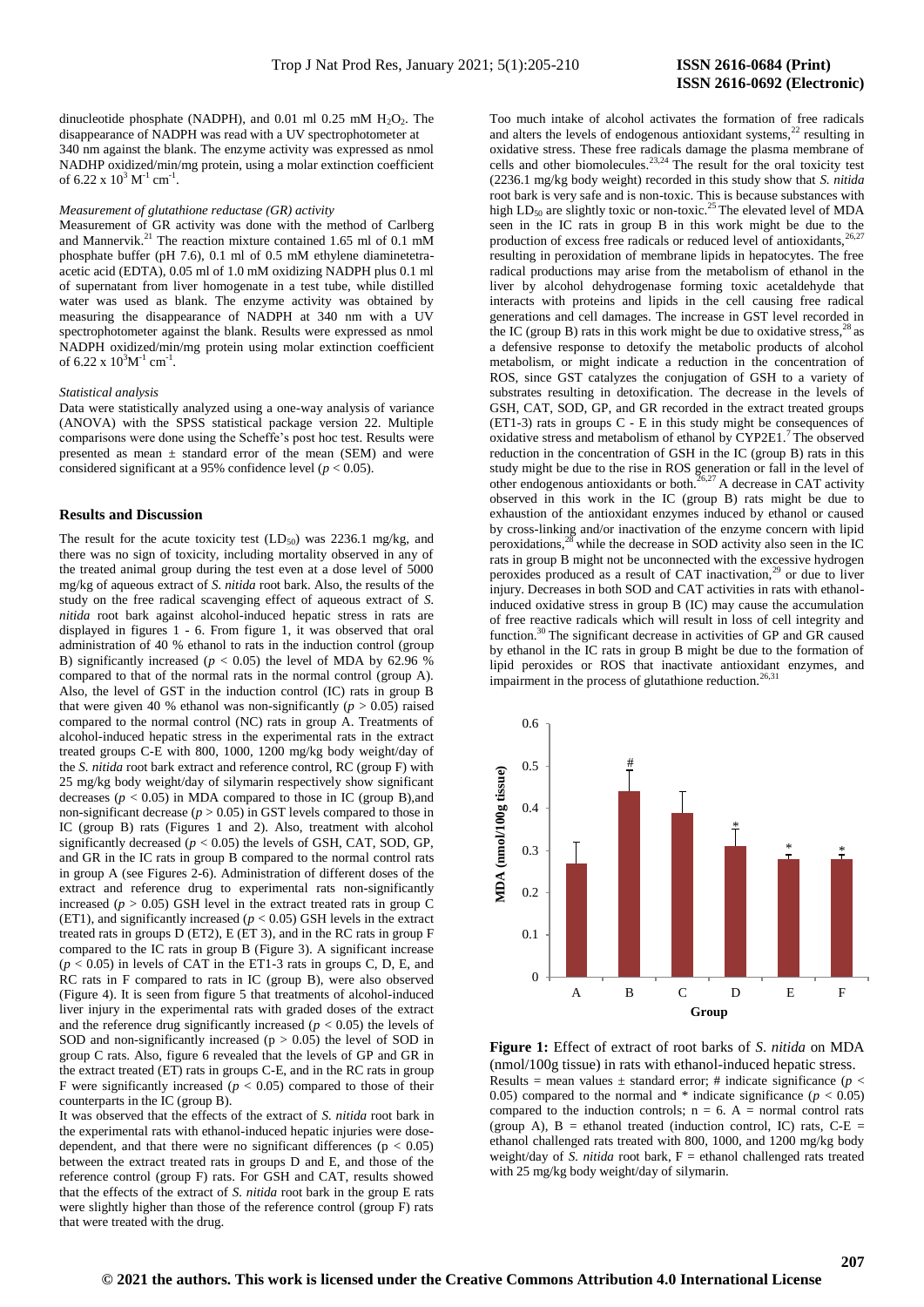dinucleotide phosphate (NADPH), and  $0.01$  ml  $0.25$  mM  $H_2O_2$ . The disappearance of NADPH was read with a UV spectrophotometer at 340 nm against the blank. The enzyme activity was expressed as nmol NADHP oxidized/min/mg protein, using a molar extinction coefficient of 6.22 x  $10^3$  M<sup>-1</sup> cm<sup>-1</sup>.

#### *Measurement of glutathione reductase (GR) activity*

Measurement of GR activity was done with the method of Carlberg and Mannervik.<sup>21</sup> The reaction mixture contained 1.65 ml of 0.1 mM phosphate buffer (pH 7.6), 0.1 ml of 0.5 mM ethylene diaminetetraacetic acid (EDTA), 0.05 ml of 1.0 mM oxidizing NADPH plus 0.1 ml of supernatant from liver homogenate in a test tube, while distilled water was used as blank. The enzyme activity was obtained by measuring the disappearance of NADPH at 340 nm with a UV spectrophotometer against the blank. Results were expressed as nmol NADPH oxidized/min/mg protein using molar extinction coefficient of 6.22 x  $10^3$ M<sup>-1</sup> cm<sup>-1</sup>.

#### *Statistical analysis*

Data were statistically analyzed using a one-way analysis of variance (ANOVA) with the SPSS statistical package version 22. Multiple comparisons were done using the Scheffe's post hoc test. Results were presented as mean  $\pm$  standard error of the mean (SEM) and were considered significant at a 95% confidence level ( $p < 0.05$ ).

### **Results and Discussion**

The result for the acute toxicity test  $(LD_{50})$  was 2236.1 mg/kg, and there was no sign of toxicity, including mortality observed in any of the treated animal group during the test even at a dose level of 5000 mg/kg of aqueous extract of *S. nitida* root bark. Also, the results of the study on the free radical scavenging effect of aqueous extract of *S. nitida* root bark against alcohol-induced hepatic stress in rats are displayed in figures 1 - 6. From figure 1, it was observed that oral administration of 40 % ethanol to rats in the induction control (group B) significantly increased ( $p < 0.05$ ) the level of MDA by 62.96 % compared to that of the normal rats in the normal control (group A). Also, the level of GST in the induction control (IC) rats in group B that were given 40 % ethanol was non-significantly ( $p > 0.05$ ) raised compared to the normal control (NC) rats in group A. Treatments of alcohol-induced hepatic stress in the experimental rats in the extract treated groups C-E with 800, 1000, 1200 mg/kg body weight/day of the *S. nitida* root bark extract and reference control, RC (group F) with 25 mg/kg body weight/day of silymarin respectively show significant decreases  $(p < 0.05)$  in MDA compared to those in IC (group B), and non-significant decrease ( $p > 0.05$ ) in GST levels compared to those in IC (group B) rats (Figures 1 and 2). Also, treatment with alcohol significantly decreased  $(p < 0.05)$  the levels of GSH, CAT, SOD, GP, and GR in the IC rats in group B compared to the normal control rats in group A (see Figures 2-6). Administration of different doses of the extract and reference drug to experimental rats non-significantly increased  $(p > 0.05)$  GSH level in the extract treated rats in group C (ET1), and significantly increased ( $p < 0.05$ ) GSH levels in the extract treated rats in groups D (ET2), E (ET 3), and in the RC rats in group F compared to the IC rats in group B (Figure 3). A significant increase  $(p < 0.05)$  in levels of CAT in the ET1-3 rats in groups C, D, E, and RC rats in F compared to rats in IC (group B), were also observed (Figure 4). It is seen from figure 5 that treatments of alcohol-induced liver injury in the experimental rats with graded doses of the extract and the reference drug significantly increased ( $p < 0.05$ ) the levels of SOD and non-significantly increased  $(p > 0.05)$  the level of SOD in group C rats. Also, figure 6 revealed that the levels of GP and GR in the extract treated (ET) rats in groups C-E, and in the RC rats in group F were significantly increased  $(p < 0.05)$  compared to those of their counterparts in the IC (group B).

It was observed that the effects of the extract of *S. nitida* root bark in the experimental rats with ethanol-induced hepatic injuries were dosedependent, and that there were no significant differences ( $p < 0.05$ ) between the extract treated rats in groups D and E, and those of the reference control (group F) rats. For GSH and CAT, results showed that the effects of the extract of *S. nitida* root bark in the group E rats were slightly higher than those of the reference control (group F) rats that were treated with the drug.

Too much intake of alcohol activates the formation of free radicals and alters the levels of endogenous antioxidant systems, $^{22}$  resulting in oxidative stress. These free radicals damage the plasma membrane of cells and other biomolecules.<sup>23,24</sup> The result for the oral toxicity test (2236.1 mg/kg body weight) recorded in this study show that *S. nitida* root bark is very safe and is non-toxic. This is because substances with high  $LD_{50}$  are slightly toxic or non-toxic.<sup>25</sup> The elevated level of MDA high  $LD_{50}$  are sugnity to the total to the seen in the IC rats in group B in this work might be due to the production of excess free radicals or reduced level of antioxidants, resulting in peroxidation of membrane lipids in hepatocytes. The free radical productions may arise from the metabolism of ethanol in the liver by alcohol dehydrogenase forming toxic acetaldehyde that interacts with proteins and lipids in the cell causing free radical generations and cell damages. The increase in GST level recorded in the IC (group B) rats in this work might be due to oxidative stress,  $^{28}$  as a defensive response to detoxify the metabolic products of alcohol metabolism, or might indicate a reduction in the concentration of ROS, since GST catalyzes the conjugation of GSH to a variety of substrates resulting in detoxification. The decrease in the levels of GSH, CAT, SOD, GP, and GR recorded in the extract treated groups (ET1-3) rats in groups C - E in this study might be consequences of oxidative stress and metabolism of ethanol by CYP2E1.<sup>7</sup>The observed reduction in the concentration of GSH in the IC (group B) rats in this study might be due to the rise in ROS generation or fall in the level of other endogenous antioxidants or both.<sup>26,27</sup> A decrease in CAT activity observed in this work in the IC (group B) rats might be due to exhaustion of the antioxidant enzymes induced by ethanol or caused by cross-linking and/or inactivation of the enzyme concern with lipid peroxidations, $28$  while the decrease in SOD activity also seen in the IC rats in group B might not be unconnected with the excessive hydrogen peroxides produced as a result of CAT inactivation, $^{29}$  or due to liver injury. Decreases in both SOD and CAT activities in rats with ethanolinduced oxidative stress in group B (IC) may cause the accumulation of free reactive radicals which will result in loss of cell integrity and function.<sup>30</sup> The significant decrease in activities of GP and GR caused by ethanol in the IC rats in group B might be due to the formation of lipid peroxides or ROS that inactivate antioxidant enzymes, and impairment in the process of glutathione reduction.<sup>26,3</sup>



**Figure 1:** Effect of extract of root barks of *S*. *nitida* on MDA (nmol/100g tissue) in rats with ethanol-induced hepatic stress. Results = mean values  $\pm$  standard error; # indicate significance ( $p$  < 0.05) compared to the normal and  $*$  indicate significance ( $p < 0.05$ ) compared to the induction controls;  $n = 6$ . A = normal control rats (group A),  $B =$  ethanol treated (induction control, IC) rats,  $C-E =$ ethanol challenged rats treated with 800, 1000, and 1200 mg/kg body weight/day of *S. nitida* root bark,  $F =$  ethanol challenged rats treated with 25 mg/kg body weight/day of silymarin.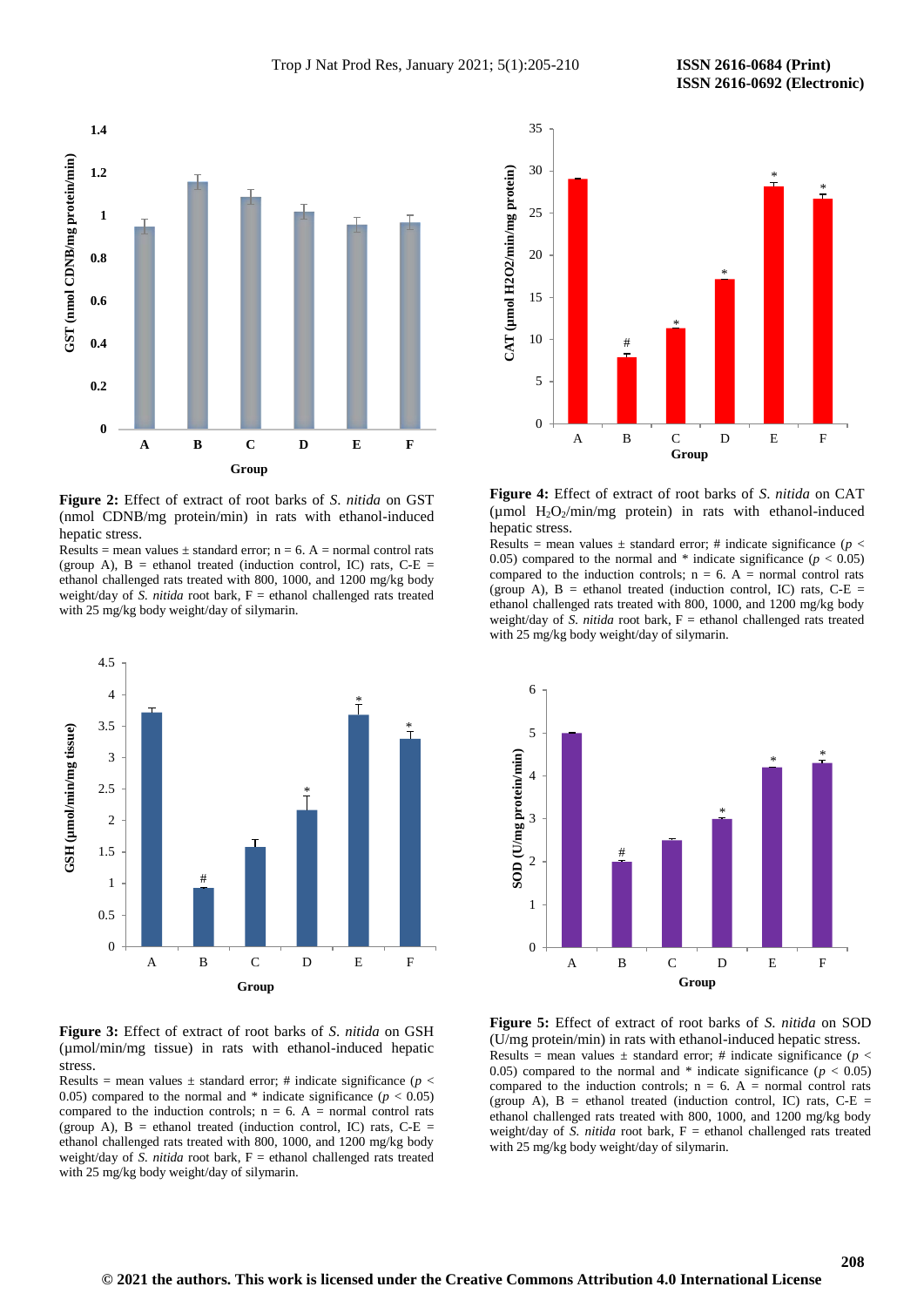

**Figure 2:** Effect of extract of root barks of *S*. *nitida* on GST (nmol CDNB/mg protein/min) in rats with ethanol-induced hepatic stress.

Results = mean values  $\pm$  standard error; n = 6. A = normal control rats (group A),  $B =$  ethanol treated (induction control, IC) rats,  $C-E =$ ethanol challenged rats treated with 800, 1000, and 1200 mg/kg body weight/day of *S. nitida* root bark,  $F =$  ethanol challenged rats treated with 25 mg/kg body weight/day of silymarin.



**Figure 3:** Effect of extract of root barks of *S*. *nitida* on GSH (µmol/min/mg tissue) in rats with ethanol-induced hepatic stress.

Results = mean values  $\pm$  standard error; # indicate significance ( $p <$ 0.05) compared to the normal and  $*$  indicate significance ( $p < 0.05$ ) compared to the induction controls;  $n = 6$ . A = normal control rats (group A),  $B =$  ethanol treated (induction control, IC) rats,  $C-E =$ ethanol challenged rats treated with 800, 1000, and 1200 mg/kg body weight/day of *S. nitida* root bark, F = ethanol challenged rats treated with 25 mg/kg body weight/day of silymarin.



**Figure 4:** Effect of extract of root barks of *S*. *nitida* on CAT ( $\mu$ mol H<sub>2</sub>O<sub>2</sub>/min/mg protein) in rats with ethanol-induced hepatic stress.

Results = mean values  $\pm$  standard error; # indicate significance ( $p$  < 0.05) compared to the normal and  $*$  indicate significance ( $p < 0.05$ ) compared to the induction controls;  $n = 6$ . A = normal control rats (group A),  $B =$  ethanol treated (induction control, IC) rats,  $C-E =$ ethanol challenged rats treated with 800, 1000, and 1200 mg/kg body weight/day of  $\overline{S}$  *nitida* root bark,  $F =$  ethanol challenged rats treated with 25 mg/kg body weight/day of silymarin.



**Figure 5:** Effect of extract of root barks of *S*. *nitida* on SOD (U/mg protein/min) in rats with ethanol-induced hepatic stress. Results = mean values  $\pm$  standard error; # indicate significance ( $p$  < 0.05) compared to the normal and  $*$  indicate significance ( $p < 0.05$ ) compared to the induction controls;  $n = 6$ . A = normal control rats (group A),  $B =$  ethanol treated (induction control, IC) rats,  $C-E =$ ethanol challenged rats treated with 800, 1000, and 1200 mg/kg body weight/day of *S. nitida* root bark,  $F =$  ethanol challenged rats treated with 25 mg/kg body weight/day of silymarin.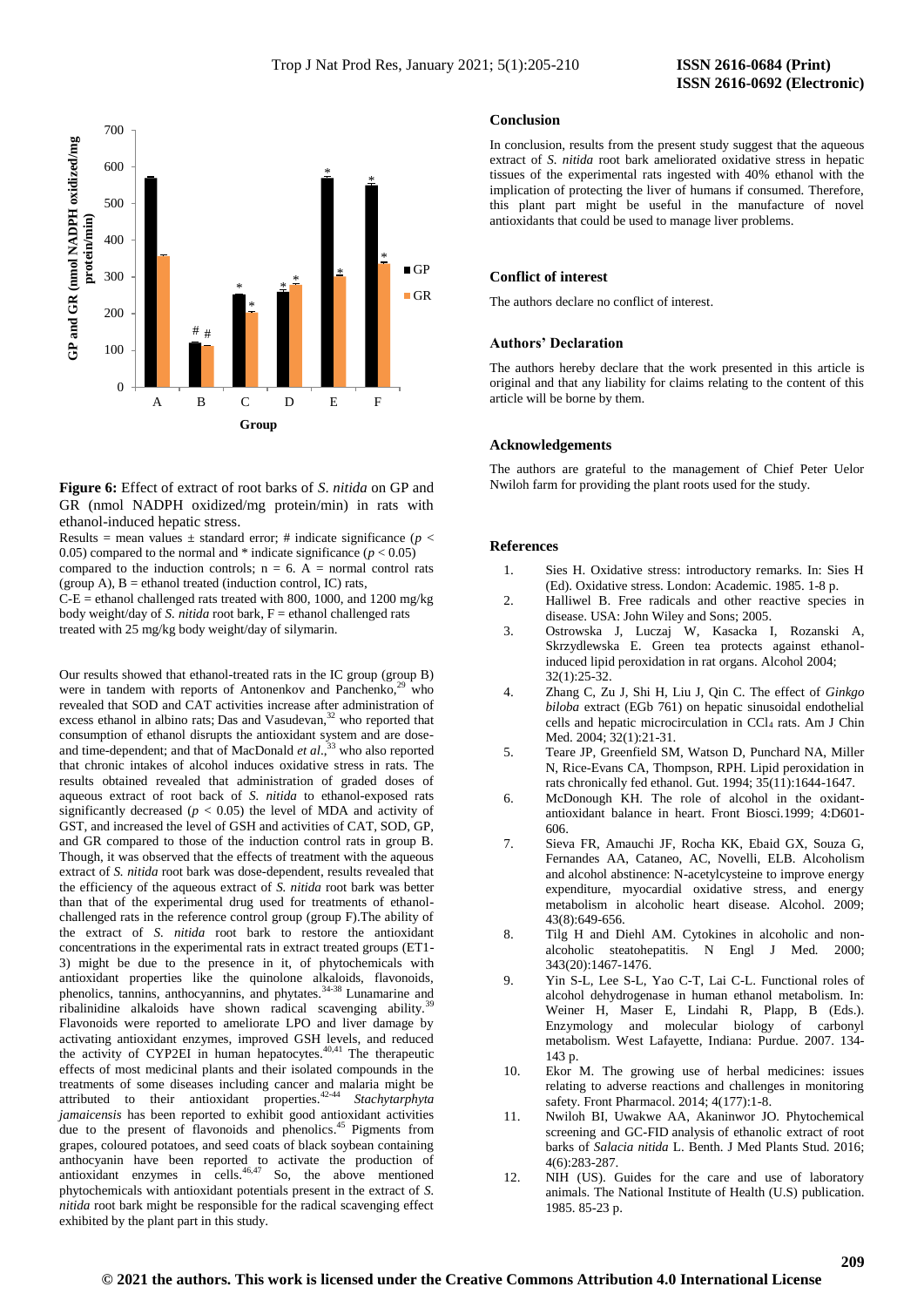

**Figure 6:** Effect of extract of root barks of *S*. *nitida* on GP and GR (nmol NADPH oxidized/mg protein/min) in rats with ethanol-induced hepatic stress.

Results = mean values  $\pm$  standard error; # indicate significance ( $p$  < 0.05) compared to the normal and  $*$  indicate significance  $(p < 0.05)$ compared to the induction controls;  $n = 6$ . A = normal control rats (group A),  $B =$  ethanol treated (induction control, IC) rats,  $C-E$  = ethanol challenged rats treated with 800, 1000, and 1200 mg/kg body weight/day of *S. nitida* root bark, F = ethanol challenged rats treated with 25 mg/kg body weight/day of silymarin.

Our results showed that ethanol-treated rats in the IC group (group B) were in tandem with reports of Antonenkov and Panchenko, $29$  who revealed that SOD and CAT activities increase after administration of excess ethanol in albino rats; Das and Vasudevan,<sup>32</sup> who reported that consumption of ethanol disrupts the antioxidant system and are doseand time-dependent; and that of MacDonald *et al*., <sup>33</sup> who also reported that chronic intakes of alcohol induces oxidative stress in rats. The results obtained revealed that administration of graded doses of aqueous extract of root back of *S. nitida* to ethanol-exposed rats significantly decreased ( $p < 0.05$ ) the level of MDA and activity of GST, and increased the level of GSH and activities of CAT, SOD, GP, and GR compared to those of the induction control rats in group B. Though, it was observed that the effects of treatment with the aqueous extract of *S. nitida* root bark was dose-dependent, results revealed that the efficiency of the aqueous extract of *S. nitida* root bark was better than that of the experimental drug used for treatments of ethanolchallenged rats in the reference control group (group F).The ability of the extract of *S. nitida* root bark to restore the antioxidant concentrations in the experimental rats in extract treated groups (ET1- 3) might be due to the presence in it, of phytochemicals with antioxidant properties like the quinolone alkaloids, flavonoids, phenolics, tannins, anthocyannins, and phytates.<sup>34-38</sup> Lunamarine and ribalinidine alkaloids have shown radical scavenging ability.<sup>39</sup> Flavonoids were reported to ameliorate LPO and liver damage by activating antioxidant enzymes, improved GSH levels, and reduced the activity of CYP2EI in human hepatocytes. $40,41$  The therapeutic effects of most medicinal plants and their isolated compounds in the treatments of some diseases including cancer and malaria might be attributed to their antioxidant properties.42-44 *Stachytarphyta jamaicensis* has been reported to exhibit good antioxidant activities due to the present of flavonoids and phenolics.<sup>45</sup> Pigments from grapes, coloured potatoes, and seed coats of black soybean containing anthocyanin have been reported to activate the production of antioxidant enzymes in cells. $46,47$  So, the above mentioned phytochemicals with antioxidant potentials present in the extract of *S. nitida* root bark might be responsible for the radical scavenging effect exhibited by the plant part in this study.

#### **Conclusion**

In conclusion, results from the present study suggest that the aqueous extract of *S. nitida* root bark ameliorated oxidative stress in hepatic tissues of the experimental rats ingested with 40% ethanol with the implication of protecting the liver of humans if consumed. Therefore, this plant part might be useful in the manufacture of novel antioxidants that could be used to manage liver problems.

# **Conflict of interest**

The authors declare no conflict of interest.

#### **Authors' Declaration**

The authors hereby declare that the work presented in this article is original and that any liability for claims relating to the content of this article will be borne by them.

#### **Acknowledgements**

The authors are grateful to the management of Chief Peter Uelor Nwiloh farm for providing the plant roots used for the study.

# **References**

- 1. Sies H. Oxidative stress: introductory remarks. In: Sies H (Ed). Oxidative stress. London: Academic. 1985. 1-8 p.
- 2. Halliwel B. Free radicals and other reactive species in disease. USA: John Wiley and Sons; 2005.
- 3. Ostrowska J, Luczaj W, Kasacka I, Rozanski A, Skrzydlewska E. Green tea protects against ethanolinduced lipid peroxidation in rat organs. Alcohol 2004;  $32(1) \cdot 25 - 32$
- 4. Zhang C, Zu J, Shi H, Liu J, Qin C. The effect of *Ginkgo biloba* extract (EGb 761) on hepatic sinusoidal endothelial cells and hepatic microcirculation in CCl<sub>4</sub> rats. Am J Chin Med. 2004; 32(1):21-31.
- 5. Teare JP, Greenfield SM, Watson D, Punchard NA, Miller N, Rice-Evans CA, Thompson, RPH. Lipid peroxidation in rats chronically fed ethanol. Gut. 1994; 35(11):1644-1647.
- 6. McDonough KH. The role of alcohol in the oxidantantioxidant balance in heart. Front Biosci*.*1999; 4:D601- 606.
- 7. Sieva FR, Amauchi JF, Rocha KK, Ebaid GX, Souza G, Fernandes AA, Cataneo, AC, Novelli, ELB. Alcoholism and alcohol abstinence: N-acetylcysteine to improve energy expenditure, myocardial oxidative stress, and energy metabolism in alcoholic heart disease. Alcohol. 2009; 43(8):649-656.
- 8. Tilg H and Diehl AM. Cytokines in alcoholic and nonalcoholic steatohepatitis. N Engl J Med*.* 2000; 343(20):1467-1476.
- 9. Yin S-L, Lee S-L, Yao C-T, Lai C-L. Functional roles of alcohol dehydrogenase in human ethanol metabolism. In: Weiner H, Maser E, Lindahi R, Plapp, B (Eds.). Enzymology and molecular biology of carbonyl metabolism. West Lafayette, Indiana: Purdue. 2007. 134- 143 p.
- 10. Ekor M. The growing use of herbal medicines: issues relating to adverse reactions and challenges in monitoring safety. Front Pharmacol. 2014; 4(177):1-8.
- 11. Nwiloh BI, Uwakwe AA, Akaninwor JO. Phytochemical screening and GC-FID analysis of ethanolic extract of root barks of *Salacia nitida* L. Benth. J Med Plants Stud. 2016; 4(6):283-287.
- 12. NIH (US). Guides for the care and use of laboratory animals. The National Institute of Health (U.S) publication. 1985. 85-23 p.